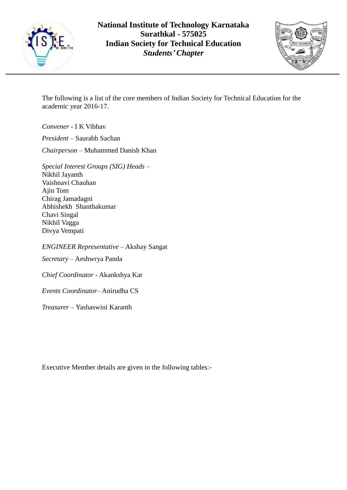



The following is a list of the core members of Indian Society for Technical Education for the academic year 2016-17.

*Convener* - I K Vibhav

*President* – Saurabh Sachan *Chairperson* – Muhammed Danish Khan

*Special Interest Groups (SIG) Heads* – Nikhil Jayanth Vaishnavi Chauhan Ajin Tom Chirag Jamadagni Abhishekh Shanthakumar Chavi Singal Nikhil Vagga Divya Vempati

*ENGINEER Representative* – Akshay Sangat

*Secretary* – Aeshwrya Panda

*Chief Coordinator* - Akankshya Kar

*Events Coordinator*– Anirudha CS

*Treasurer* – Yashaswini Karanth

Executive Member details are given in the following tables:-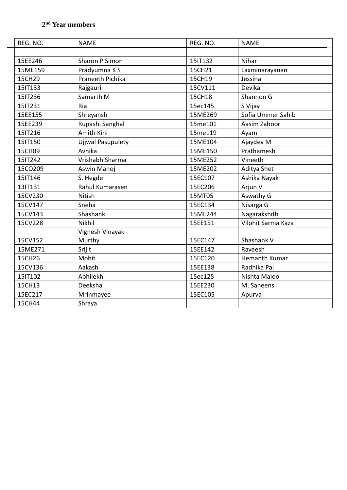| REG. NO. | <b>NAME</b>              | REG. NO. | <b>NAME</b>        |
|----------|--------------------------|----------|--------------------|
|          |                          |          |                    |
| 15EE246  | Sharon P Simon           | 15IT132  | Nihar              |
| 15ME159  | Pradyumna K S            | 15CH21   | Laxminarayanan     |
| 15CH29   | Praneeth Pichika         | 15CH19   | Jessina            |
| 15IT133  | Rajgauri                 | 15CV111  | Devika             |
| 15IT236  | Samarth M                | 15CH18   | Shannon G          |
| 15IT231  | Ria                      | 15ec145  | S Vijay            |
| 15EE155  | Shreyansh                | 15ME269  | Sofia Ummer Sahib  |
| 15EE239  | Rupashi Sanghal          | 15me101  | Aasim Zahoor       |
| 15IT216  | Amith Kini               | 15me119  | Ayam               |
| 15IT150  | <b>Ujjwal Pasupulety</b> | 15ME104  | Ajaydev M          |
| 15CH09   | Avnika                   | 15ME150  | Prathamesh         |
| 15IT242  | Vrishabh Sharma          | 15ME252  | Vineeth            |
| 15CO209  | Aswin Manoj              | 15ME202  | Aditya Shet        |
| 15IT146  | S. Hegde                 | 15EC107  | Ashika Nayak       |
| 13IT131  | Rahul Kumarasen          | 15EC206  | Arjun V            |
| 15CV230  | Nitish                   | 15MT05   | Aswathy G          |
| 15CV147  | Sneha                    | 15EC134  | Nisarga G          |
| 15CV143  | Shashank                 | 15ME244  | Nagarakshith       |
| 15CV228  | Nikhil                   | 15EE151  | Vilohit Sarma Kaza |
|          | Vignesh Vinayak          |          |                    |
| 15CV152  | Murthy                   | 15EC147  | Shashank V         |
| 15ME271  | Srijit                   | 15EE142  | Raveesh            |
| 15CH26   | Mohit                    | 15EC120  | Hemanth Kumar      |
| 15CV136  | Aakash                   | 15EE138  | Radhika Pai        |
| 15IT102  | Abhilekh                 | 15ec125  | Nishta Maloo       |
| 15CH13   | Deeksha                  | 15EE230  | M. Saneens         |
| 15EC217  | Mrinmayee                | 15EC105  | Apurva             |
| 15CH44   | Shraya                   |          |                    |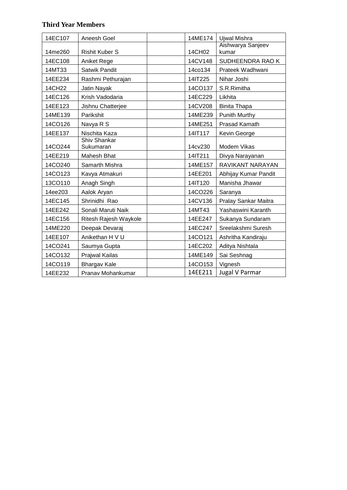## **Third Year Members**

| 14EC107 | Aneesh Goel               | 14ME174 | Ujwal Mishra               |
|---------|---------------------------|---------|----------------------------|
| 14me260 | <b>Rishit Kuber S</b>     | 14CH02  | Aishwarya Sanjeev<br>kumar |
| 14EC108 | Aniket Rege               | 14CV148 | SUDHEENDRA RAO K           |
| 14MT33  | Satwik Pandit             | 14co134 | Prateek Wadhwani           |
| 14EE234 | Rashmi Pethurajan         | 14IT225 | Nihar Joshi                |
| 14CH22  | Jatin Nayak               | 14CO137 | S.R.Rimitha                |
| 14EC126 | Krish Vadodaria           | 14EC229 | Likhita                    |
| 14EE123 | Jishnu Chatterjee         | 14CV208 | <b>Binita Thapa</b>        |
| 14ME139 | Parikshit                 | 14ME239 | Punith Murthy              |
| 14CO126 | Navya R S                 | 14ME251 | Prasad Kamath              |
| 14EE137 | Nischita Kaza             | 14IT117 | Kevin George               |
| 14CO244 | Shiv Shankar<br>Sukumaran | 14cv230 | Modem Vikas                |
| 14EE219 | Mahesh Bhat               | 14IT211 | Divya Narayanan            |
| 14CO240 | Samarth Mishra            | 14ME157 | RAVIKANT NARAYAN           |
| 14CO123 | Kavya Atmakuri            | 14EE201 | Abhijay Kumar Pandit       |
| 13CO110 | Anagh Singh               | 14IT120 | Manisha Jhawar             |
| 14ee203 | Aalok Aryan               | 14CO226 | Saranya                    |
| 14EC145 | Shrinidhi Rao             | 14CV136 | Pralay Sankar Maitra       |
| 14EE242 | Sonali Maruti Naik        | 14MT43  | Yashaswini Karanth         |
| 14EC156 | Ritesh Rajesh Waykole     | 14EE247 | Sukanya Sundaram           |
| 14ME220 | Deepak Devaraj            | 14EC247 | Sreelakshmi Suresh         |
| 14EE107 | Anikethan H V U           | 14CO121 | Ashritha Kandiraju         |
| 14CO241 | Saumya Gupta              | 14EC202 | Aditya Nishtala            |
| 14CO132 | Prajwal Kailas            | 14ME149 | Sai Seshnag                |
| 14CO119 | <b>Bhargav Kale</b>       | 14CO153 | Vignesh                    |
| 14EE232 | Pranav Mohankumar         | 14EE211 | <b>Jugal V Parmar</b>      |